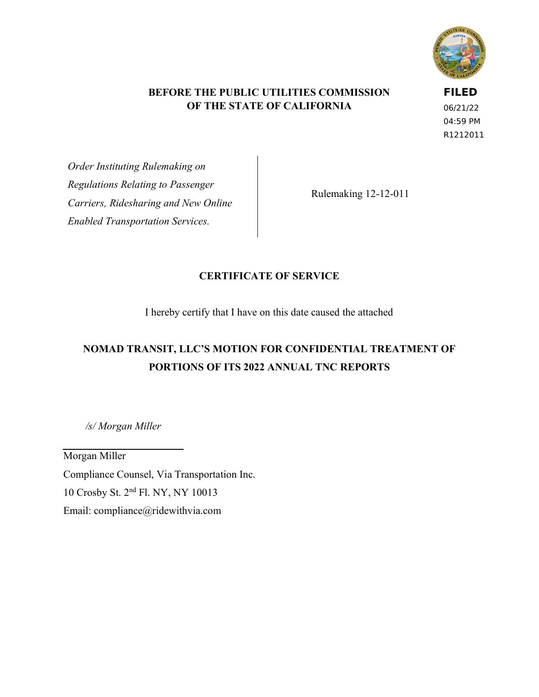

#### **BEFORE THE PUBLIC UTILITIES COMMISSION OF THE STATE OF CALIFORNIA**

**FILED**

06/21/22 04:59 PM R1212011

*Order Instituting Rulemaking on Regulations Relating to Passenger Carriers, Ridesharing and New Online Enabled Transportation Services.*

Rulemaking 12-12-011

#### **CERTIFICATE OF SERVICE**

I hereby certify that I have on this date caused the attached

## **NOMAD TRANSIT, LLC'S MOTION FOR CONFIDENTIAL TREATMENT OF PORTIONS OF ITS 2022 ANNUAL TNC REPORTS**

*/s/ Morgan Miller*

Morgan Miller Compliance Counsel, Via Transportation Inc. 10 Crosby St. 2nd Fl. NY, NY 10013 Email: compliance@ridewithvia.com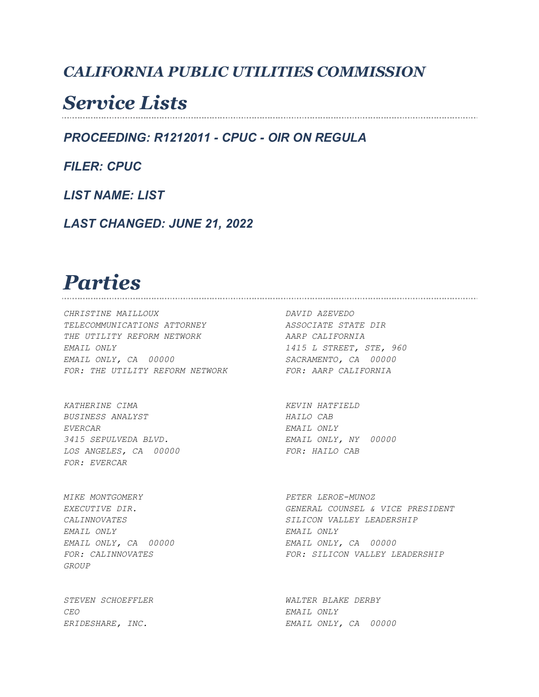### *CALIFORNIA PUBLIC UTILITIES COMMISSION*

## *Service Lists*

*PROCEEDING: R1212011 - CPUC - OIR ON REGULA*

*FILER: CPUC*

*LIST NAME: LIST*

*LAST CHANGED: JUNE 21, 2022*

#### *Parties*

*CHRISTINE MAILLOUX DAVID AZEVEDO TELECOMMUNICATIONS ATTORNEY ASSOCIATE STATE DIR THE UTILITY REFORM NETWORK AARP CALIFORNIA EMAIL ONLY 1415 L STREET, STE, 960 EMAIL ONLY, CA 00000 SACRAMENTO, CA 00000*  FOR: THE UTILITY REFORM NETWORK FOR: AARP CALIFORNIA

*KATHERINE CIMA KEVIN HATFIELD*  BUSINESS ANALYST **HAILO CAB** *EVERCAR EMAIL ONLY 3415 SEPULVEDA BLVD. EMAIL ONLY, NY 00000*  LOS ANGELES, CA 00000 FOR: HAILO CAB *FOR: EVERCAR* 

*MIKE MONTGOMERY PETER LEROE-MUNOZ EMAIL ONLY EMAIL ONLY GROUP* 

*CEO EMAIL ONLY* 

*EXECUTIVE DIR. GENERAL COUNSEL & VICE PRESIDENT CALINNOVATES SILICON VALLEY LEADERSHIP EMAIL ONLY, CA 00000 EMAIL ONLY, CA 00000 FOR: CALINNOVATES FOR: SILICON VALLEY LEADERSHIP* 

*STEVEN SCHOEFFLER WALTER BLAKE DERBY ERIDESHARE, INC. EMAIL ONLY, CA 00000*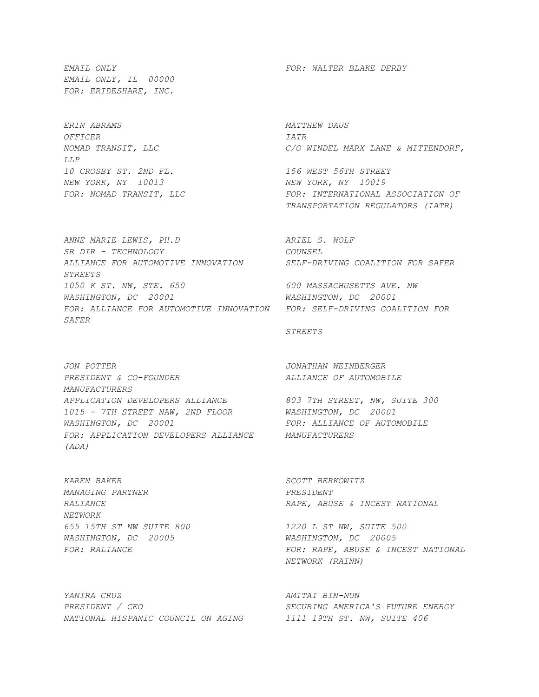*EMAIL ONLY, IL 00000 FOR: ERIDESHARE, INC.* 

*ERIN ABRAMS MATTHEW DAUS OFFICER IATR LLP 10 CROSBY ST. 2ND FL. 156 WEST 56TH STREET NEW YORK, NY 10013 NEW YORK, NY 10019* 

*ANNE MARIE LEWIS, PH.D ARIEL S. WOLF SR DIR - TECHNOLOGY COUNSEL ALLIANCE FOR AUTOMOTIVE INNOVATION SELF-DRIVING COALITION FOR SAFER STREETS 1050 K ST. NW, STE. 650 600 MASSACHUSETTS AVE. NW WASHINGTON, DC 20001 WASHINGTON, DC 20001 FOR: ALLIANCE FOR AUTOMOTIVE INNOVATION FOR: SELF-DRIVING COALITION FOR SAFER* 

*JON POTTER JONATHAN WEINBERGER PRESIDENT & CO-FOUNDER ALLIANCE OF AUTOMOBILE MANUFACTURERS APPLICATION DEVELOPERS ALLIANCE 803 7TH STREET, NW, SUITE 300 1015 - 7TH STREET NAW, 2ND FLOOR WASHINGTON, DC 20001 WASHINGTON, DC 20001 FOR: ALLIANCE OF AUTOMOBILE FOR: APPLICATION DEVELOPERS ALLIANCE MANUFACTURERS (ADA)* 

*KAREN BAKER SCOTT BERKOWITZ MANAGING PARTNER PRESIDENT NETWORK 655 15TH ST NW SUITE 800 1220 L ST NW, SUITE 500 WASHINGTON, DC 20005 WASHINGTON, DC 20005* 

*YANIRA CRUZ AMITAI BIN-NUN PRESIDENT / CEO SECURING AMERICA'S FUTURE ENERGY NATIONAL HISPANIC COUNCIL ON AGING 1111 19TH ST. NW, SUITE 406* 

*EMAIL ONLY FOR: WALTER BLAKE DERBY* 

*NOMAD TRANSIT, LLC C/O WINDEL MARX LANE & MITTENDORF,* 

FOR: NOMAD TRANSIT, LLC FOR: INTERNATIONAL ASSOCIATION OF  *TRANSPORTATION REGULATORS (IATR)* 

#### *STREETS*

*RALIANCE RAPE, ABUSE & INCEST NATIONAL* 

*FOR: RALIANCE FOR: RAPE, ABUSE & INCEST NATIONAL NETWORK (RAINN)*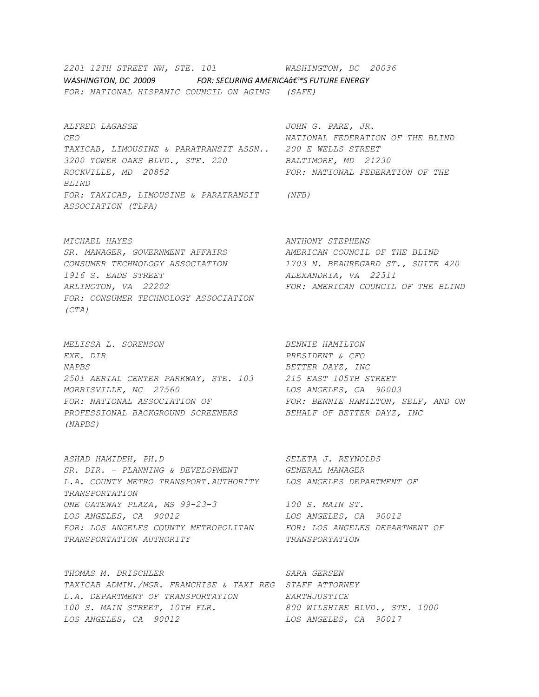*2201 12TH STREET NW, STE. 101 WASHINGTON, DC 20036 WASHINGTON, DC 20009 FOR: SECURING AMERICAô€™S FUTURE ENERGY FOR: NATIONAL HISPANIC COUNCIL ON AGING (SAFE)* 

*ALFRED LAGASSE JOHN G. PARE, JR. CEO NATIONAL FEDERATION OF THE BLIND TAXICAB, LIMOUSINE & PARATRANSIT ASSN.. 200 E WELLS STREET 3200 TOWER OAKS BLVD., STE. 220 BALTIMORE, MD 21230 ROCKVILLE, MD 20852 FOR: NATIONAL FEDERATION OF THE BLIND FOR: TAXICAB, LIMOUSINE & PARATRANSIT (NFB) ASSOCIATION (TLPA)* 

*MICHAEL HAYES ANTHONY STEPHENS*  SR. MANAGER, GOVERNMENT AFFAIRS **AMERICAN COUNCIL OF THE BLIND** *CONSUMER TECHNOLOGY ASSOCIATION 1703 N. BEAUREGARD ST., SUITE 420 1916 S. EADS STREET ALEXANDRIA, VA 22311 ARLINGTON, VA 22202 FOR: AMERICAN COUNCIL OF THE BLIND FOR: CONSUMER TECHNOLOGY ASSOCIATION (CTA)* 

*MELISSA L. SORENSON BENNIE HAMILTON EXE. DIR PRESIDENT & CFO NAPBS BETTER DAYZ, INC 2501 AERIAL CENTER PARKWAY, STE. 103 215 EAST 105TH STREET MORRISVILLE, NC 27560 LOS ANGELES, CA 90003 FOR: NATIONAL ASSOCIATION OF FOR: BENNIE HAMILTON, SELF, AND ON PROFESSIONAL BACKGROUND SCREENERS BEHALF OF BETTER DAYZ, INC (NAPBS)* 

*ASHAD HAMIDEH, PH.D SELETA J. REYNOLDS SR. DIR. - PLANNING & DEVELOPMENT GENERAL MANAGER L.A. COUNTY METRO TRANSPORT.AUTHORITY LOS ANGELES DEPARTMENT OF TRANSPORTATION ONE GATEWAY PLAZA, MS 99-23-3 100 S. MAIN ST. LOS ANGELES, CA 90012 LOS ANGELES, CA 90012 FOR: LOS ANGELES COUNTY METROPOLITAN FOR: LOS ANGELES DEPARTMENT OF TRANSPORTATION AUTHORITY TRANSPORTATION* 

*THOMAS M. DRISCHLER SARA GERSEN TAXICAB ADMIN./MGR. FRANCHISE & TAXI REG STAFF ATTORNEY L.A. DEPARTMENT OF TRANSPORTATION EARTHJUSTICE 100 S. MAIN STREET, 10TH FLR. 800 WILSHIRE BLVD., STE. 1000 LOS ANGELES, CA 90012 LOS ANGELES, CA 90017*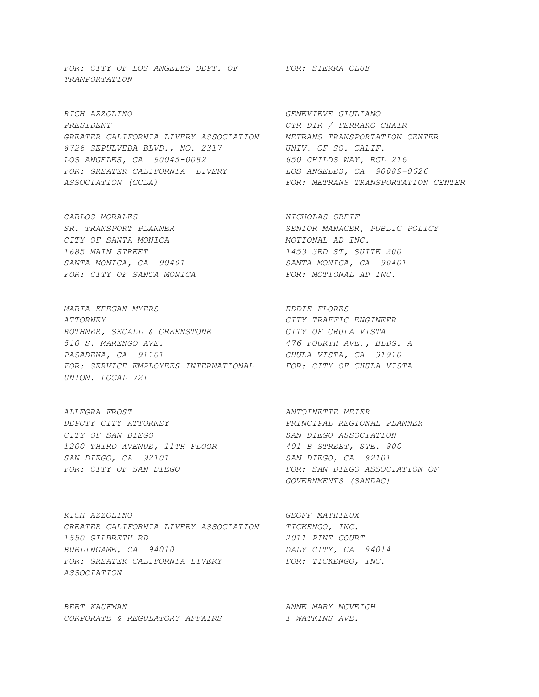FOR: CITY OF LOS ANGELES DEPT. OF FOR: SIERRA CLUB *TRANPORTATION* 

*RICH AZZOLINO GENEVIEVE GIULIANO PRESIDENT CTR DIR / FERRARO CHAIR GREATER CALIFORNIA LIVERY ASSOCIATION METRANS TRANSPORTATION CENTER 8726 SEPULVEDA BLVD., NO. 2317 UNIV. OF SO. CALIF. LOS ANGELES, CA 90045-0082 650 CHILDS WAY, RGL 216 FOR: GREATER CALIFORNIA LIVERY LOS ANGELES, CA 90089-0626 ASSOCIATION (GCLA) FOR: METRANS TRANSPORTATION CENTER* 

*CARLOS MORALES NICHOLAS GREIF CITY OF SANTA MONICA MOTIONAL AD INC. 1685 MAIN STREET 1453 3RD ST, SUITE 200 SANTA MONICA, CA 90401 SANTA MONICA, CA 90401*  FOR: CITY OF SANTA MONICA FOR: MOTIONAL AD INC.

*MARIA KEEGAN MYERS EDDIE FLORES ATTORNEY CITY TRAFFIC ENGINEER ROTHNER, SEGALL & GREENSTONE CITY OF CHULA VISTA 510 S. MARENGO AVE. 476 FOURTH AVE., BLDG. A PASADENA, CA 91101 CHULA VISTA, CA 91910 FOR: SERVICE EMPLOYEES INTERNATIONAL FOR: CITY OF CHULA VISTA UNION, LOCAL 721* 

*ALLEGRA FROST ANTOINETTE MEIER DEPUTY CITY ATTORNEY PRINCIPAL REGIONAL PLANNER CITY OF SAN DIEGO SAN DIEGO ASSOCIATION 1200 THIRD AVENUE, 11TH FLOOR 401 B STREET, STE. 800 SAN DIEGO, CA 92101 SAN DIEGO, CA 92101*  FOR: CITY OF SAN DIEGO<br>
FOR: SAN DIEGO **FOR: SAN DIEGO ASSOCIATION** OF

*RICH AZZOLINO GEOFF MATHIEUX GREATER CALIFORNIA LIVERY ASSOCIATION TICKENGO, INC. 1550 GILBRETH RD 2011 PINE COURT BURLINGAME, CA 94010 DALY CITY, CA 94014*  FOR: GREATER CALIFORNIA LIVERY FOR: TICKENGO, INC. *ASSOCIATION* 

*BERT KAUFMAN ANNE MARY MCVEIGH CORPORATE & REGULATORY AFFAIRS I WATKINS AVE.* 

*SR. TRANSPORT PLANNER SENIOR MANAGER, PUBLIC POLICY* 

 *GOVERNMENTS (SANDAG)*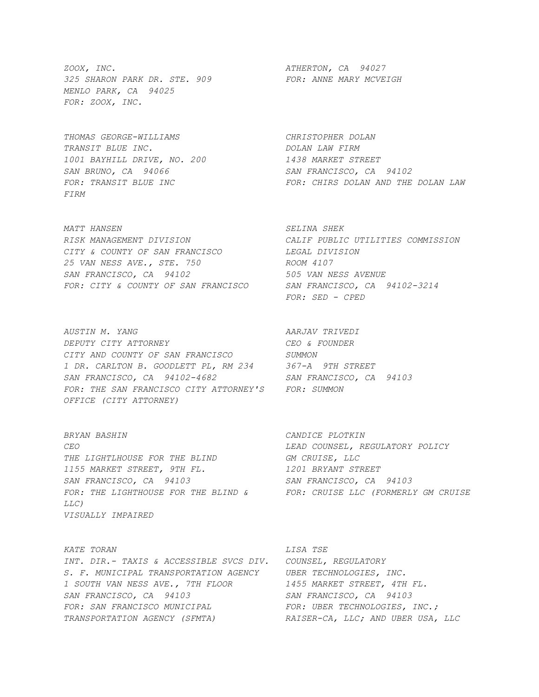*ZOOX, INC. ATHERTON, CA 94027 325 SHARON PARK DR. STE. 909 FOR: ANNE MARY MCVEIGH MENLO PARK, CA 94025 FOR: ZOOX, INC.* 

*THOMAS GEORGE-WILLIAMS CHRISTOPHER DOLAN TRANSIT BLUE INC. DOLAN LAW FIRM 1001 BAYHILL DRIVE, NO. 200 1438 MARKET STREET SAN BRUNO, CA 94066 SAN FRANCISCO, CA 94102 FIRM* 

*MATT HANSEN SELINA SHEK RISK MANAGEMENT DIVISION CALIF PUBLIC UTILITIES COMMISSION CITY & COUNTY OF SAN FRANCISCO LEGAL DIVISION 25 VAN NESS AVE., STE. 750 ROOM 4107 SAN FRANCISCO, CA 94102 505 VAN NESS AVENUE FOR: CITY & COUNTY OF SAN FRANCISCO SAN FRANCISCO, CA 94102-3214* 

*AUSTIN M. YANG AARJAV TRIVEDI DEPUTY CITY ATTORNEY CEO & FOUNDER CITY AND COUNTY OF SAN FRANCISCO SUMMON 1 DR. CARLTON B. GOODLETT PL, RM 234 367-A 9TH STREET SAN FRANCISCO, CA 94102-4682 SAN FRANCISCO, CA 94103 FOR: THE SAN FRANCISCO CITY ATTORNEY'S FOR: SUMMON OFFICE (CITY ATTORNEY)* 

*BRYAN BASHIN CANDICE PLOTKIN CEO LEAD COUNSEL, REGULATORY POLICY THE LIGHTLHOUSE FOR THE BLIND GM CRUISE, LLC 1155 MARKET STREET, 9TH FL. 1201 BRYANT STREET SAN FRANCISCO, CA 94103 SAN FRANCISCO, CA 94103*  FOR: THE LIGHTHOUSE FOR THE BLIND & FOR: CRUISE LLC (FORMERLY GM CRUISE *LLC) VISUALLY IMPAIRED* 

*KATE TORAN LISA TSE INT. DIR.- TAXIS & ACCESSIBLE SVCS DIV. COUNSEL, REGULATORY S. F. MUNICIPAL TRANSPORTATION AGENCY UBER TECHNOLOGIES, INC. 1 SOUTH VAN NESS AVE., 7TH FLOOR 1455 MARKET STREET, 4TH FL. SAN FRANCISCO, CA 94103 SAN FRANCISCO, CA 94103 FOR: SAN FRANCISCO MUNICIPAL FOR: UBER TECHNOLOGIES, INC.; TRANSPORTATION AGENCY (SFMTA) RAISER-CA, LLC; AND UBER USA, LLC* 

*FOR: TRANSIT BLUE INC FOR: CHIRS DOLAN AND THE DOLAN LAW* 

 *FOR: SED - CPED*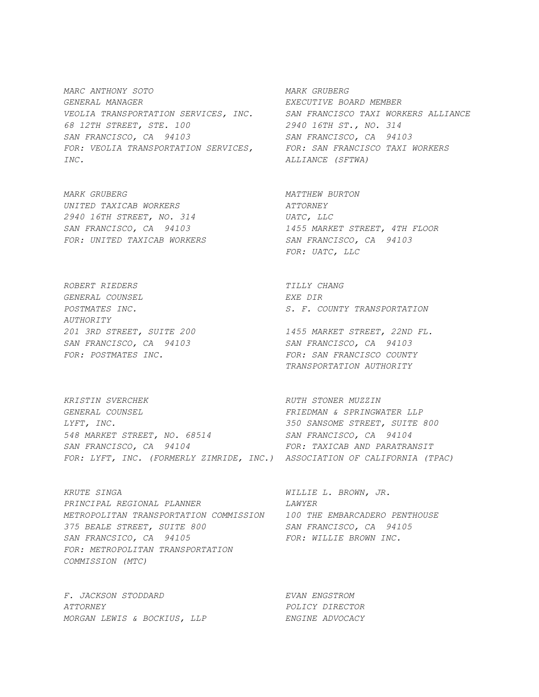*MARC ANTHONY SOTO MARK GRUBERG GENERAL MANAGER EXECUTIVE BOARD MEMBER VEOLIA TRANSPORTATION SERVICES, INC. SAN FRANCISCO TAXI WORKERS ALLIANCE 68 12TH STREET, STE. 100 2940 16TH ST., NO. 314 SAN FRANCISCO, CA 94103 SAN FRANCISCO, CA 94103*  FOR: VEOLIA TRANSPORTATION SERVICES, FOR: SAN FRANCISCO TAXI WORKERS *INC. ALLIANCE (SFTWA)* 

*MARK GRUBERG MATTHEW BURTON UNITED TAXICAB WORKERS ATTORNEY 2940 16TH STREET, NO. 314 UATC, LLC FOR: UNITED TAXICAB WORKERS SAN FRANCISCO, CA 94103* 

*ROBERT RIEDERS TILLY CHANG GENERAL COUNSEL EXE DIR AUTHORITY 201 3RD STREET, SUITE 200 1455 MARKET STREET, 22ND FL. SAN FRANCISCO, CA 94103 SAN FRANCISCO, CA 94103* 

**KRISTIN SVERCHEK ARUFI STONER MUZZIN** *GENERAL COUNSEL FRIEDMAN & SPRINGWATER LLP LYFT, INC. 350 SANSOME STREET, SUITE 800 548 MARKET STREET, NO. 68514 SAN FRANCISCO, CA 94104*  SAN FRANCISCO, CA 94104 FOR: TAXICAB AND PARATRANSIT *FOR: LYFT, INC. (FORMERLY ZIMRIDE, INC.) ASSOCIATION OF CALIFORNIA (TPAC)* 

*KRUTE SINGA WILLIE L. BROWN, JR. PRINCIPAL REGIONAL PLANNER LAWYER METROPOLITAN TRANSPORTATION COMMISSION 100 THE EMBARCADERO PENTHOUSE 375 BEALE STREET, SUITE 800 SAN FRANCISCO, CA 94105 SAN FRANCSICO, CA 94105 FOR: WILLIE BROWN INC. FOR: METROPOLITAN TRANSPORTATION COMMISSION (MTC)* 

*F. JACKSON STODDARD EVAN ENGSTROM ATTORNEY POLICY DIRECTOR MORGAN LEWIS & BOCKIUS, LLP ENGINE ADVOCACY* 

*SAN FRANCISCO, CA 94103 1455 MARKET STREET, 4TH FLOOR FOR: UATC, LLC* 

*POSTMATES INC. S. F. COUNTY TRANSPORTATION* 

*FOR: POSTMATES INC. FOR: SAN FRANCISCO COUNTY TRANSPORTATION AUTHORITY*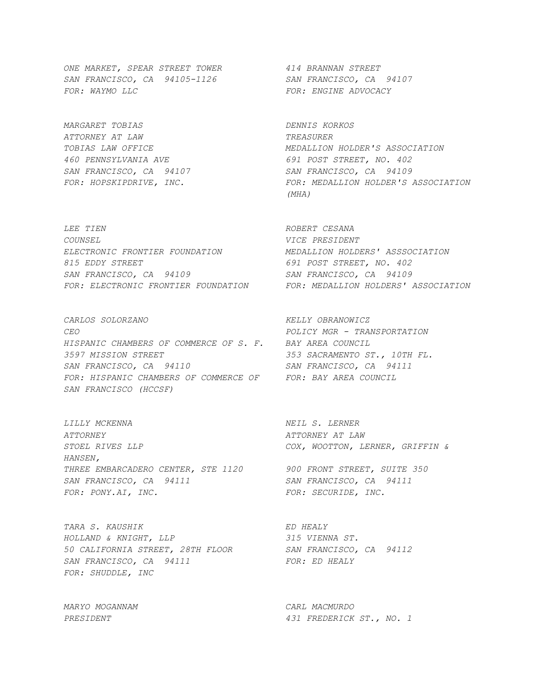*ONE MARKET, SPEAR STREET TOWER 414 BRANNAN STREET SAN FRANCISCO, CA 94105-1126 SAN FRANCISCO, CA 94107*  FOR: WAYMO LLC **FOR: ENGINE ADVOCACY** 

*MARGARET TOBIAS DENNIS KORKOS ATTORNEY AT LAW TREASURER 460 PENNSYLVANIA AVE 691 POST STREET, NO. 402 SAN FRANCISCO, CA 94107 SAN FRANCISCO, CA 94109* 

*LEE TIEN ROBERT CESANA COUNSEL VICE PRESIDENT ELECTRONIC FRONTIER FOUNDATION MEDALLION HOLDERS' ASSSOCIATION 815 EDDY STREET 691 POST STREET, NO. 402 SAN FRANCISCO, CA 94109 SAN FRANCISCO, CA 94109 FOR: ELECTRONIC FRONTIER FOUNDATION FOR: MEDALLION HOLDERS' ASSOCIATION* 

*CARLOS SOLORZANO KELLY OBRANOWICZ CEO POLICY MGR - TRANSPORTATION HISPANIC CHAMBERS OF COMMERCE OF S. F. BAY AREA COUNCIL 3597 MISSION STREET 353 SACRAMENTO ST., 10TH FL. SAN FRANCISCO, CA 94110 SAN FRANCISCO, CA 94111 FOR: HISPANIC CHAMBERS OF COMMERCE OF FOR: BAY AREA COUNCIL SAN FRANCISCO (HCCSF)* 

*LILLY MCKENNA NEIL S. LERNER ATTORNEY ATTORNEY AT LAW STOEL RIVES LLP COX, WOOTTON, LERNER, GRIFFIN & HANSEN, THREE EMBARCADERO CENTER, STE 1120 900 FRONT STREET, SUITE 350 SAN FRANCISCO, CA 94111 SAN FRANCISCO, CA 94111*  FOR: PONY.AI, INC. TOR: SECURIDE, INC.

*TARA S. KAUSHIK ED HEALY HOLLAND & KNIGHT, LLP 315 VIENNA ST. 50 CALIFORNIA STREET, 28TH FLOOR SAN FRANCISCO, CA 94112*  SAN FRANCISCO, CA 94111 FOR: ED HEALY *FOR: SHUDDLE, INC* 

*TOBIAS LAW OFFICE MEDALLION HOLDER'S ASSOCIATION*  FOR: HOPSKIPDRIVE, INC.  $FOR:$  **FOR: MEDALLION HOLDER'S ASSOCIATION**  *(MHA)* 

*MARYO MOGANNAM CARL MACMURDO PRESIDENT 431 FREDERICK ST., NO. 1*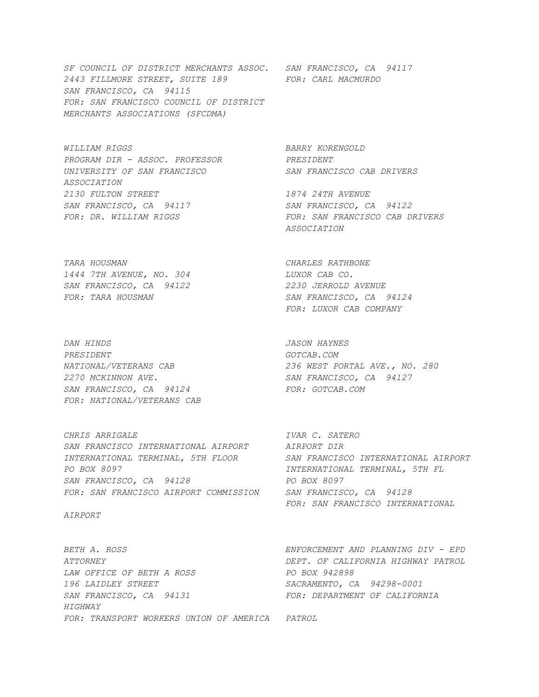*SF COUNCIL OF DISTRICT MERCHANTS ASSOC. SAN FRANCISCO, CA 94117 2443 FILLMORE STREET, SUITE 189 FOR: CARL MACMURDO SAN FRANCISCO, CA 94115 FOR: SAN FRANCISCO COUNCIL OF DISTRICT MERCHANTS ASSOCIATIONS (SFCDMA)* 

*WILLIAM RIGGS BARRY KORENGOLD PROGRAM DIR - ASSOC. PROFESSOR PRESIDENT UNIVERSITY OF SAN FRANCISCO SAN FRANCISCO CAB DRIVERS ASSOCIATION 2130 FULTON STREET 1874 24TH AVENUE SAN FRANCISCO, CA 94117 SAN FRANCISCO, CA 94122* 

*TARA HOUSMAN CHARLES RATHBONE 1444 7TH AVENUE, NO. 304 LUXOR CAB CO. SAN FRANCISCO, CA 94122 2230 JERROLD AVENUE* 

*DAN HINDS JASON HAYNES PRESIDENT GOTCAB.COM 2270 MCKINNON AVE. SAN FRANCISCO, CA 94127*  SAN FRANCISCO, CA 94124 FOR: GOTCAB.COM *FOR: NATIONAL/VETERANS CAB* 

*CHRIS ARRIGALE IVAR C. SATERO SAN FRANCISCO INTERNATIONAL AIRPORT AIRPORT DIR INTERNATIONAL TERMINAL, 5TH FLOOR SAN FRANCISCO INTERNATIONAL AIRPORT PO BOX 8097 INTERNATIONAL TERMINAL, 5TH FL SAN FRANCISCO, CA 94128 PO BOX 8097 FOR: SAN FRANCISCO AIRPORT COMMISSION SAN FRANCISCO, CA 94128* 

#### *AIRPORT*

*ATTORNEY DEPT. OF CALIFORNIA HIGHWAY PATROL*  LAW OFFICE OF BETH A ROSS PO BOX 942898 *196 LAIDLEY STREET SACRAMENTO, CA 94298-0001*  SAN FRANCISCO, CA 94131 FOR: DEPARTMENT OF CALIFORNIA *HIGHWAY FOR: TRANSPORT WORKERS UNION OF AMERICA PATROL* 

FOR: DR. WILLIAM RIGGS FOR: SAN FRANCISCO CAB DRIVERS  *ASSOCIATION* 

*FOR: TARA HOUSMAN SAN FRANCISCO, CA 94124 FOR: LUXOR CAB COMPANY* 

*NATIONAL/VETERANS CAB 236 WEST PORTAL AVE., NO. 280* 

 *FOR: SAN FRANCISCO INTERNATIONAL* 

*BETH A. ROSS ENFORCEMENT AND PLANNING DIV - EPD*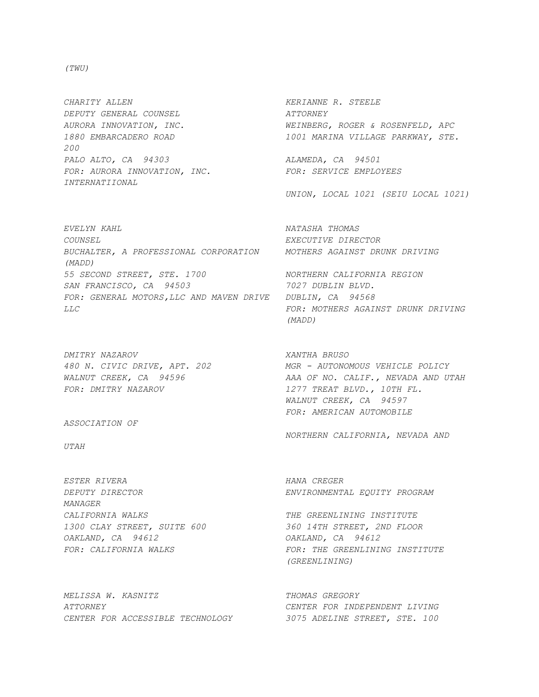*(TWU)* 

*CHARITY ALLEN KERIANNE R. STEELE DEPUTY GENERAL COUNSEL ATTORNEY 200 PALO ALTO, CA 94303 ALAMEDA, CA 94501 FOR: AURORA INNOVATION, INC. FOR: SERVICE EMPLOYEES INTERNATIIONAL* 

*EVELYN KAHL NATASHA THOMAS COUNSEL EXECUTIVE DIRECTOR BUCHALTER, A PROFESSIONAL CORPORATION MOTHERS AGAINST DRUNK DRIVING (MADD) 55 SECOND STREET, STE. 1700 NORTHERN CALIFORNIA REGION SAN FRANCISCO, CA 94503 7027 DUBLIN BLVD. FOR: GENERAL MOTORS,LLC AND MAVEN DRIVE DUBLIN, CA 94568 LLC FOR: MOTHERS AGAINST DRUNK DRIVING* 

*DMITRY NAZAROV XANTHA BRUSO FOR: DMITRY NAZAROV 1277 TREAT BLVD., 10TH FL.* 

*ASSOCIATION OF* 

*UTAH* 

*ESTER RIVERA HANA CREGER MANAGER CALIFORNIA WALKS THE GREENLINING INSTITUTE 1300 CLAY STREET, SUITE 600 360 14TH STREET, 2ND FLOOR OAKLAND, CA 94612 OAKLAND, CA 94612* 

*MELISSA W. KASNITZ* THOMAS GREGORY *ATTORNEY CENTER FOR INDEPENDENT LIVING CENTER FOR ACCESSIBLE TECHNOLOGY 3075 ADELINE STREET, STE. 100* 

*AURORA INNOVATION, INC. WEINBERG, ROGER & ROSENFELD, APC 1880 EMBARCADERO ROAD 1001 MARINA VILLAGE PARKWAY, STE.* 

 *UNION, LOCAL 1021 (SEIU LOCAL 1021)* 

 *(MADD)* 

*480 N. CIVIC DRIVE, APT. 202 MGR - AUTONOMOUS VEHICLE POLICY WALNUT CREEK, CA 94596 AAA OF NO. CALIF., NEVADA AND UTAH WALNUT CREEK, CA 94597 FOR: AMERICAN AUTOMOBILE* 

*NORTHERN CALIFORNIA, NEVADA AND* 

*DEPUTY DIRECTOR ENVIRONMENTAL EQUITY PROGRAM* 

FOR: CALIFORNIA WALKS **FOR: THE GREENLINING INSTITUTE**  *(GREENLINING)*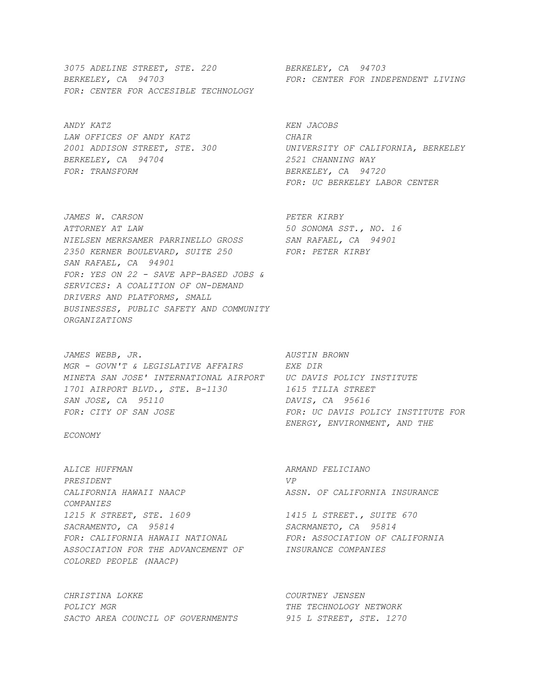*3075 ADELINE STREET, STE. 220 BERKELEY, CA 94703 BERKELEY, CA 94703 FOR: CENTER FOR INDEPENDENT LIVING FOR: CENTER FOR ACCESIBLE TECHNOLOGY* 

*ANDY KATZ KEN JACOBS LAW OFFICES OF ANDY KATZ CHAIR BERKELEY, CA 94704 2521 CHANNING WAY FOR: TRANSFORM BERKELEY, CA 94720* 

*JAMES W. CARSON PETER KIRBY ATTORNEY AT LAW 50 SONOMA SST., NO. 16 NIELSEN MERKSAMER PARRINELLO GROSS SAN RAFAEL, CA 94901 2350 KERNER BOULEVARD, SUITE 250 FOR: PETER KIRBY SAN RAFAEL, CA 94901 FOR: YES ON 22 - SAVE APP-BASED JOBS & SERVICES: A COALITION OF ON-DEMAND DRIVERS AND PLATFORMS, SMALL BUSINESSES, PUBLIC SAFETY AND COMMUNITY ORGANIZATIONS* 

JAMES WEBB, JR. **AUSTIN BROWN** *MGR - GOVN'T & LEGISLATIVE AFFAIRS EXE DIR MINETA SAN JOSE' INTERNATIONAL AIRPORT UC DAVIS POLICY INSTITUTE 1701 AIRPORT BLVD., STE. B-1130 1615 TILIA STREET SAN JOSE, CA 95110 DAVIS, CA 95616 FOR: CITY OF SAN JOSE FOR: UC DAVIS POLICY INSTITUTE FOR* 

*ECONOMY* 

*ALICE HUFFMAN ARMAND FELICIANO PRESIDENT VP CALIFORNIA HAWAII NAACP ASSN. OF CALIFORNIA INSURANCE COMPANIES 1215 K STREET, STE. 1609 1415 L STREET., SUITE 670 SACRAMENTO, CA 95814 SACRMANETO, CA 95814 FOR: CALIFORNIA HAWAII NATIONAL FOR: ASSOCIATION OF CALIFORNIA ASSOCIATION FOR THE ADVANCEMENT OF INSURANCE COMPANIES COLORED PEOPLE (NAACP)* 

*CHRISTINA LOKKE COURTNEY JENSEN POLICY MGR THE TECHNOLOGY NETWORK SACTO AREA COUNCIL OF GOVERNMENTS 915 L STREET, STE. 1270* 

*2001 ADDISON STREET, STE. 300 UNIVERSITY OF CALIFORNIA, BERKELEY FOR: UC BERKELEY LABOR CENTER* 

 *ENERGY, ENVIRONMENT, AND THE*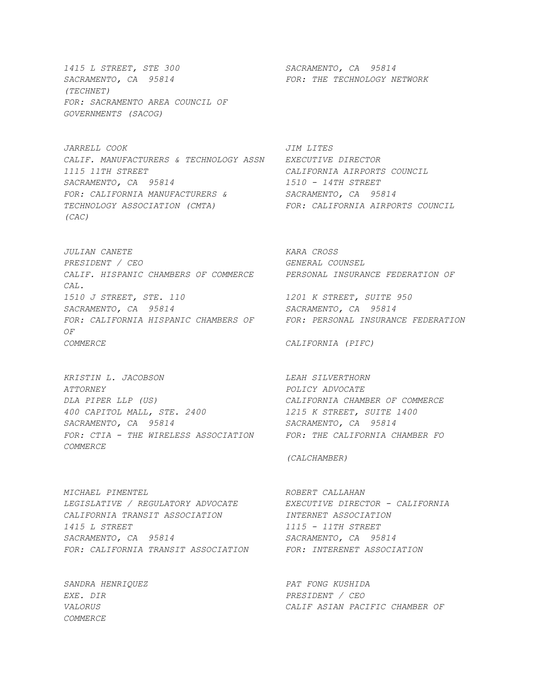*1415 L STREET, STE 300 SACRAMENTO, CA 95814 SACRAMENTO, CA 95814 FOR: THE TECHNOLOGY NETWORK (TECHNET) FOR: SACRAMENTO AREA COUNCIL OF GOVERNMENTS (SACOG)* 

*JARRELL COOK JIM LITES CALIF. MANUFACTURERS & TECHNOLOGY ASSN EXECUTIVE DIRECTOR 1115 11TH STREET CALIFORNIA AIRPORTS COUNCIL SACRAMENTO, CA 95814 1510 - 14TH STREET FOR: CALIFORNIA MANUFACTURERS & SACRAMENTO, CA 95814 TECHNOLOGY ASSOCIATION (CMTA) FOR: CALIFORNIA AIRPORTS COUNCIL (CAC)* 

*JULIAN CANETE KARA CROSS PRESIDENT / CEO GENERAL COUNSEL CALIF. HISPANIC CHAMBERS OF COMMERCE PERSONAL INSURANCE FEDERATION OF CAL. 1510 J STREET, STE. 110 1201 K STREET, SUITE 950 SACRAMENTO, CA 95814 SACRAMENTO, CA 95814*  FOR: CALIFORNIA HISPANIC CHAMBERS OF FOR: PERSONAL INSURANCE FEDERATION *OF COMMERCE CALIFORNIA (PIFC)* 

*KRISTIN L. JACOBSON LEAH SILVERTHORN ATTORNEY POLICY ADVOCATE DLA PIPER LLP (US) CALIFORNIA CHAMBER OF COMMERCE 400 CAPITOL MALL, STE. 2400 1215 K STREET, SUITE 1400 SACRAMENTO, CA 95814 SACRAMENTO, CA 95814 FOR: CTIA - THE WIRELESS ASSOCIATION FOR: THE CALIFORNIA CHAMBER FO COMMERCE* 

*MICHAEL PIMENTEL ROBERT CALLAHAN LEGISLATIVE / REGULATORY ADVOCATE EXECUTIVE DIRECTOR - CALIFORNIA CALIFORNIA TRANSIT ASSOCIATION INTERNET ASSOCIATION 1415 L STREET 1115 - 11TH STREET SACRAMENTO, CA 95814 SACRAMENTO, CA 95814 FOR: CALIFORNIA TRANSIT ASSOCIATION FOR: INTERENET ASSOCIATION* 

*SANDRA HENRIQUEZ PAT FONG KUSHIDA EXE. DIR PRESIDENT / CEO COMMERCE* 

 *(CALCHAMBER)* 

*VALORUS CALIF ASIAN PACIFIC CHAMBER OF*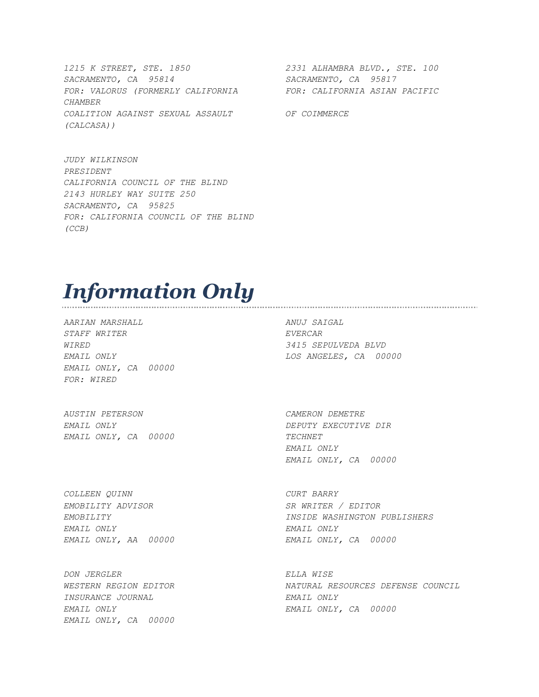*1215 K STREET, STE. 1850 2331 ALHAMBRA BLVD., STE. 100 SACRAMENTO, CA 95814 SACRAMENTO, CA 95817 FOR: VALORUS (FORMERLY CALIFORNIA FOR: CALIFORNIA ASIAN PACIFIC CHAMBER COALITION AGAINST SEXUAL ASSAULT OF COIMMERCE (CALCASA))* 

*JUDY WILKINSON PRESIDENT CALIFORNIA COUNCIL OF THE BLIND 2143 HURLEY WAY SUITE 250 SACRAMENTO, CA 95825 FOR: CALIFORNIA COUNCIL OF THE BLIND (CCB)* 

# *Information Only*

*AARIAN MARSHALL ANUJ SAIGAL STAFF WRITER EVERCAR WIRED 3415 SEPULVEDA BLVD EMAIL ONLY, CA 00000 FOR: WIRED* 

*EMAIL ONLY LOS ANGELES, CA 00000* 

*AUSTIN PETERSON CAMERON DEMETRE EMAIL ONLY DEPUTY EXECUTIVE DIR EMAIL ONLY, CA 00000 TECHNET* 

*COLLEEN QUINN CURT BARRY EMOBILITY ADVISOR SR WRITER / EDITOR EMAIL ONLY EMAIL ONLY EMAIL ONLY, AA 00000 EMAIL ONLY, CA 00000* 

*DON JERGLER ELLA WISE INSURANCE JOURNAL EMAIL ONLY EMAIL ONLY EMAIL ONLY, CA 00000 EMAIL ONLY, CA 00000* 

 *EMAIL ONLY EMAIL ONLY, CA 00000* 

*EMOBILITY INSIDE WASHINGTON PUBLISHERS* 

*WESTERN REGION EDITOR NATURAL RESOURCES DEFENSE COUNCIL*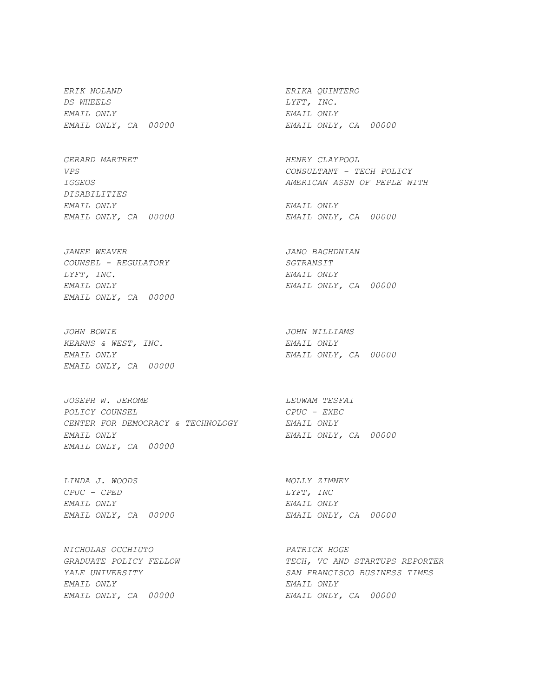*ERIK NOLAND ERIKA QUINTERO DS WHEELS LYFT, INC. EMAIL ONLY EMAIL ONLY EMAIL ONLY, CA 00000 EMAIL ONLY, CA 00000* 

GERARD MARTRET **HENRY CLAYPOOL** *DISABILITIES EMAIL ONLY EMAIL ONLY* 

*JANEE WEAVER JANO BAGHDNIAN COUNSEL - REGULATORY SGTRANSIT LYFT, INC. EMAIL ONLY EMAIL ONLY EMAIL ONLY, CA 00000 EMAIL ONLY, CA 00000* 

*JOHN BOWIE JOHN WILLIAMS KEARNS & WEST, INC. EMAIL ONLY EMAIL ONLY, CA 00000* 

*JOSEPH W. JEROME LEUWAM TESFAI POLICY COUNSEL CPUC - EXEC CENTER FOR DEMOCRACY & TECHNOLOGY EMAIL ONLY EMAIL ONLY EMAIL ONLY, CA 00000 EMAIL ONLY, CA 00000* 

*LINDA J. WOODS MOLLY ZIMNEY CPUC - CPED LYFT, INC EMAIL ONLY EMAIL ONLY EMAIL ONLY, CA 00000 EMAIL ONLY, CA 00000* 

*NICHOLAS OCCHIUTO PATRICK HOGE EMAIL ONLY EMAIL ONLY EMAIL ONLY, CA 00000 EMAIL ONLY, CA 00000* 

*VPS CONSULTANT - TECH POLICY IGGEOS AMERICAN ASSN OF PEPLE WITH* 

*EMAIL ONLY, CA 00000 EMAIL ONLY, CA 00000* 

*EMAIL ONLY EMAIL ONLY, CA 00000* 

*GRADUATE POLICY FELLOW TECH, VC AND STARTUPS REPORTER YALE UNIVERSITY SAN FRANCISCO BUSINESS TIMES*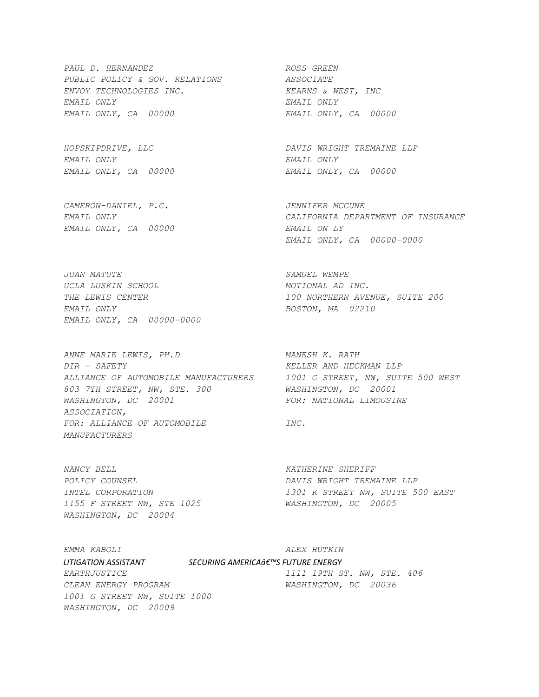PAUL D. HERNANDEZ ROSS GREEN *PUBLIC POLICY & GOV. RELATIONS ASSOCIATE ENVOY TECHNOLOGIES INC. KEARNS & WEST, INC EMAIL ONLY EMAIL ONLY EMAIL ONLY, CA 00000 EMAIL ONLY, CA 00000* 

*EMAIL ONLY EMAIL ONLY* 

*CAMERON-DANIEL, P.C. JENNIFER MCCUNE EMAIL ONLY, CA 00000 EMAIL ON LY* 

*JUAN MATUTE SAMUEL WEMPE UCLA LUSKIN SCHOOL MOTIONAL AD INC. EMAIL ONLY BOSTON, MA 02210 EMAIL ONLY, CA 00000-0000* 

*ANNE MARIE LEWIS, PH.D MANESH K. RATH DIR - SAFETY KELLER AND HECKMAN LLP ALLIANCE OF AUTOMOBILE MANUFACTURERS 1001 G STREET, NW, SUITE 500 WEST 803 7TH STREET, NW, STE. 300 WASHINGTON, DC 20001 WASHINGTON, DC 20001 FOR: NATIONAL LIMOUSINE ASSOCIATION,*  FOR: ALLIANCE OF AUTOMOBILE **INC.** *MANUFACTURERS* 

*NANCY BELL KATHERINE SHERIFF 1155 F STREET NW, STE 1025 WASHINGTON, DC 20005 WASHINGTON, DC 20004* 

*HOPSKIPDRIVE, LLC DAVIS WRIGHT TREMAINE LLP EMAIL ONLY, CA 00000 EMAIL ONLY, CA 00000* 

*EMAIL ONLY CALIFORNIA DEPARTMENT OF INSURANCE EMAIL ONLY, CA 00000-0000* 

*THE LEWIS CENTER 100 NORTHERN AVENUE, SUITE 200* 

*POLICY COUNSEL DAVIS WRIGHT TREMAINE LLP INTEL CORPORATION 1301 K STREET NW, SUITE 500 EAST* 

*EMMA KABOLI ALEX HUTKIN*   $LITIGATION ASSISTANT$  SECURING AMERICA $\hat{a}\epsilon^{\tau_{MS}}$  FUTURE ENERGY *EARTHJUSTICE 1111 19TH ST. NW, STE. 406 CLEAN ENERGY PROGRAM WASHINGTON, DC 20036 1001 G STREET NW, SUITE 1000 WASHINGTON, DC 20009*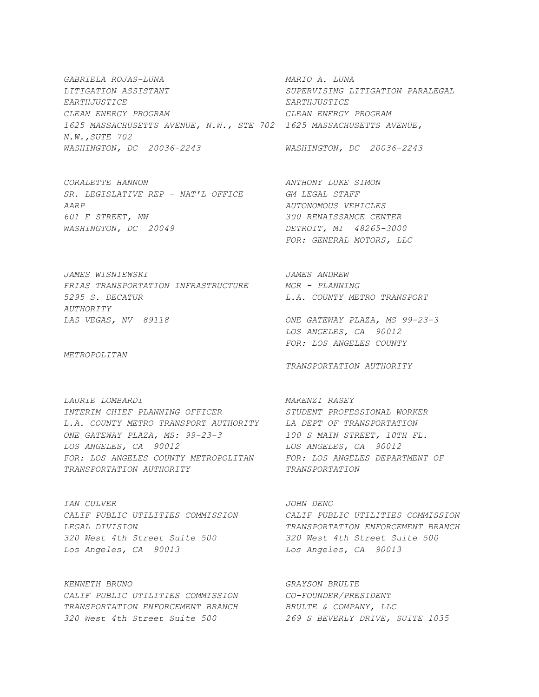*GABRIELA ROJAS-LUNA MARIO A. LUNA LITIGATION ASSISTANT SUPERVISING LITIGATION PARALEGAL EARTHJUSTICE EARTHJUSTICE CLEAN ENERGY PROGRAM CLEAN ENERGY PROGRAM 1625 MASSACHUSETTS AVENUE, N.W., STE 702 1625 MASSACHUSETTS AVENUE, N.W.,SUTE 702 WASHINGTON, DC 20036-2243 WASHINGTON, DC 20036-2243* 

*CORALETTE HANNON ANTHONY LUKE SIMON SR. LEGISLATIVE REP - NAT'L OFFICE GM LEGAL STAFF AARP AUTONOMOUS VEHICLES 601 E STREET, NW 300 RENAISSANCE CENTER WASHINGTON, DC 20049 DETROIT, MI 48265-3000* 

 *FOR: GENERAL MOTORS, LLC* 

*JAMES WISNIEWSKI JAMES ANDREW FRIAS TRANSPORTATION INFRASTRUCTURE MGR - PLANNING 5295 S. DECATUR L.A. COUNTY METRO TRANSPORT AUTHORITY LAS VEGAS, NV 89118 ONE GATEWAY PLAZA, MS 99-23-3* 

*METROPOLITAN* 

*LAURIE LOMBARDI MAKENZI RASEY INTERIM CHIEF PLANNING OFFICER STUDENT PROFESSIONAL WORKER L.A. COUNTY METRO TRANSPORT AUTHORITY LA DEPT OF TRANSPORTATION ONE GATEWAY PLAZA, MS: 99-23-3 100 S MAIN STREET, 10TH FL. LOS ANGELES, CA 90012 LOS ANGELES, CA 90012 FOR: LOS ANGELES COUNTY METROPOLITAN FOR: LOS ANGELES DEPARTMENT OF TRANSPORTATION AUTHORITY TRANSPORTATION* 

*IAN CULVER JOHN DENG 320 West 4th Street Suite 500 320 West 4th Street Suite 500 Los Angeles, CA 90013 Los Angeles, CA 90013* 

*KENNETH BRUNO GRAYSON BRULTE CALIF PUBLIC UTILITIES COMMISSION CO-FOUNDER/PRESIDENT TRANSPORTATION ENFORCEMENT BRANCH BRULTE & COMPANY, LLC 320 West 4th Street Suite 500 269 S BEVERLY DRIVE, SUITE 1035* 

 *LOS ANGELES, CA 90012 FOR: LOS ANGELES COUNTY* 

*TRANSPORTATION AUTHORITY* 

*CALIF PUBLIC UTILITIES COMMISSION CALIF PUBLIC UTILITIES COMMISSION LEGAL DIVISION TRANSPORTATION ENFORCEMENT BRANCH*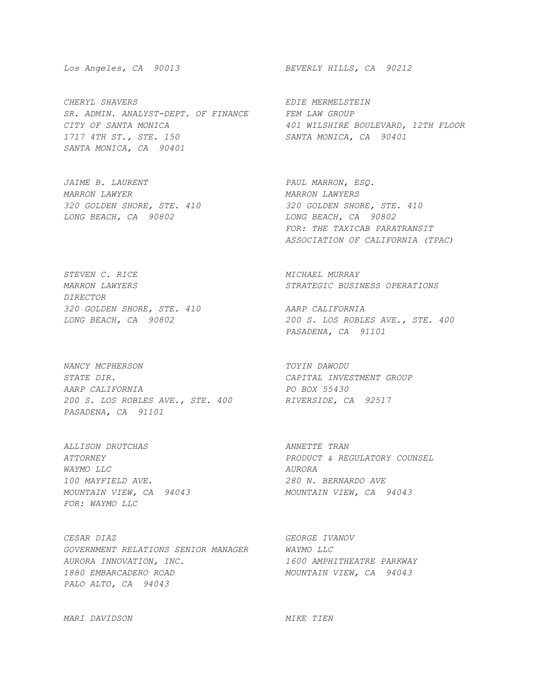*CHERYL SHAVERS EDIE MERMELSTEIN SR. ADMIN. ANALYST-DEPT. OF FINANCE FEM LAW GROUP CITY OF SANTA MONICA 401 WILSHIRE BOULEVARD, 12TH FLOOR 1717 4TH ST., STE. 150 SANTA MONICA, CA 90401 SANTA MONICA, CA 90401* 

*JAIME B. LAURENT PAUL MARRON, ESQ. MARRON LAWYER MARRON LAWYERS LONG BEACH, CA 90802 LONG BEACH, CA 90802* 

**STEVEN C. RICE STEVEN ALGEBRANCE MICHAEL MURRAY** *DIRECTOR 320 GOLDEN SHORE, STE. 410 AARP CALIFORNIA* 

*NANCY MCPHERSON TOYIN DAWODU STATE DIR. CAPITAL INVESTMENT GROUP AARP CALIFORNIA PO BOX 55430 200 S. LOS ROBLES AVE., STE. 400 RIVERSIDE, CA 92517 PASADENA, CA 91101* 

*ALLISON DRUTCHAS ANNETTE TRAN WAYMO LLC AURORA 100 MAYFIELD AVE. 280 N. BERNARDO AVE FOR: WAYMO LLC* 

*CESAR DIAZ GEORGE IVANOV GOVERNMENT RELATIONS SENIOR MANAGER WAYMO LLC AURORA INNOVATION, INC. 1600 AMPHITHEATRE PARKWAY 1880 EMBARCADERO ROAD MOUNTAIN VIEW, CA 94043 PALO ALTO, CA 94043* 

*Los Angeles, CA 90013 BEVERLY HILLS, CA 90212* 

*320 GOLDEN SHORE, STE. 410 320 GOLDEN SHORE, STE. 410 FOR: THE TAXICAB PARATRANSIT ASSOCIATION OF CALIFORNIA (TPAC)* 

*MARRON LAWYERS STRATEGIC BUSINESS OPERATIONS* 

*LONG BEACH, CA 90802 200 S. LOS ROBLES AVE., STE. 400 PASADENA, CA 91101* 

*ATTORNEY PRODUCT & REGULATORY COUNSEL MOUNTAIN VIEW, CA 94043 MOUNTAIN VIEW, CA 94043* 

*MARI DAVIDSON MIKE TIEN*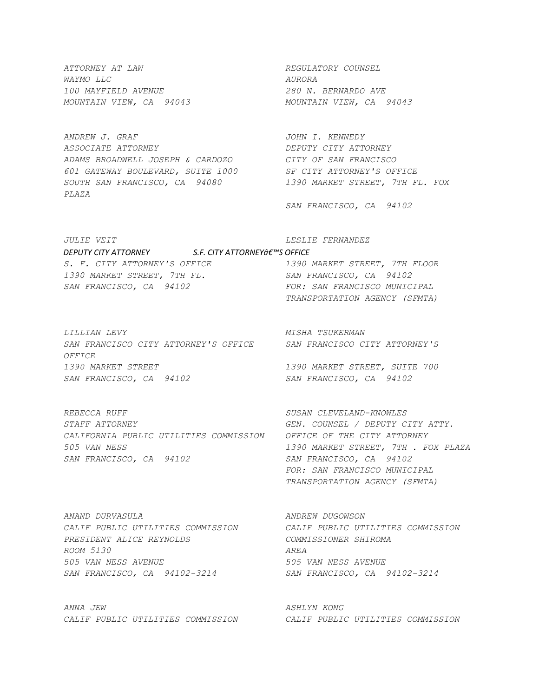*ATTORNEY AT LAW REGULATORY COUNSEL WAYMO LLC AURORA 100 MAYFIELD AVENUE 280 N. BERNARDO AVE MOUNTAIN VIEW, CA 94043 MOUNTAIN VIEW, CA 94043* 

*ANDREW J. GRAF JOHN I. KENNEDY ASSOCIATE ATTORNEY DEPUTY CITY ATTORNEY ADAMS BROADWELL JOSEPH & CARDOZO CITY OF SAN FRANCISCO 601 GATEWAY BOULEVARD, SUITE 1000 SF CITY ATTORNEY'S OFFICE SOUTH SAN FRANCISCO, CA 94080 1390 MARKET STREET, 7TH FL. FOX PLAZA* 

 *SAN FRANCISCO, CA 94102* 

*JULIE VEIT LESLIE FERNANDEZ DEPUTY CITY ATTORNEY S.F. CITY ATTORNEY'S OFFICE S. F. CITY ATTORNEY'S OFFICE 1390 MARKET STREET, 7TH FLOOR 1390 MARKET STREET, 7TH FL. SAN FRANCISCO, CA 94102*  SAN FRANCISCO, CA 94102 FOR: SAN FRANCISCO MUNICIPAL

*LILLIAN LEVY MISHA TSUKERMAN SAN FRANCISCO CITY ATTORNEY'S OFFICE SAN FRANCISCO CITY ATTORNEY'S OFFICE 1390 MARKET STREET 1390 MARKET STREET, SUITE 700 SAN FRANCISCO, CA 94102 SAN FRANCISCO, CA 94102* 

 *TRANSPORTATION AGENCY (SFMTA)* 

*REBECCA RUFF SUSAN CLEVELAND-KNOWLES STAFF ATTORNEY GEN. COUNSEL / DEPUTY CITY ATTY. CALIFORNIA PUBLIC UTILITIES COMMISSION OFFICE OF THE CITY ATTORNEY 505 VAN NESS 1390 MARKET STREET, 7TH . FOX PLAZA SAN FRANCISCO, CA 94102 SAN FRANCISCO, CA 94102* 

 *FOR: SAN FRANCISCO MUNICIPAL TRANSPORTATION AGENCY (SFMTA)* 

*ANAND DURVASULA ANDREW DUGOWSON CALIF PUBLIC UTILITIES COMMISSION CALIF PUBLIC UTILITIES COMMISSION PRESIDENT ALICE REYNOLDS COMMISSIONER SHIROMA ROOM 5130 AREA 505 VAN NESS AVENUE 505 VAN NESS AVENUE SAN FRANCISCO, CA 94102-3214 SAN FRANCISCO, CA 94102-3214* 

*ANNA JEW ASHLYN KONG* 

*CALIF PUBLIC UTILITIES COMMISSION CALIF PUBLIC UTILITIES COMMISSION*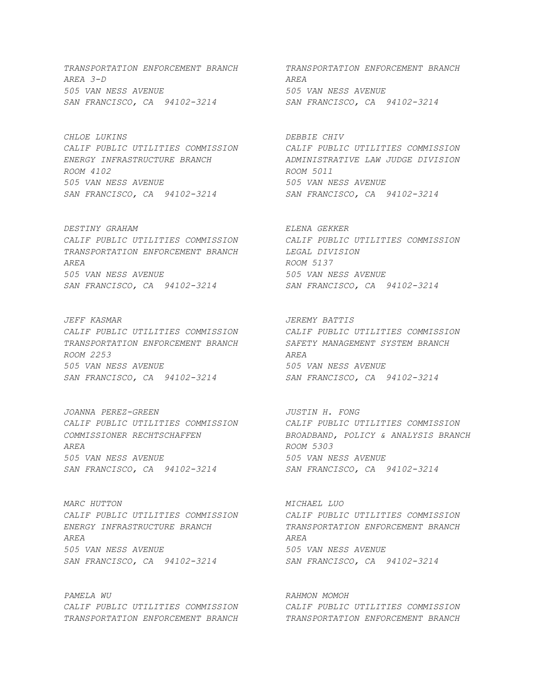*AREA 3-D AREA 505 VAN NESS AVENUE 505 VAN NESS AVENUE SAN FRANCISCO, CA 94102-3214 SAN FRANCISCO, CA 94102-3214* 

*CHLOE LUKINS DEBBIE CHIV ROOM 4102 ROOM 5011 505 VAN NESS AVENUE 505 VAN NESS AVENUE SAN FRANCISCO, CA 94102-3214 SAN FRANCISCO, CA 94102-3214* 

*DESTINY GRAHAM ELENA GEKKER CALIF PUBLIC UTILITIES COMMISSION CALIF PUBLIC UTILITIES COMMISSION TRANSPORTATION ENFORCEMENT BRANCH LEGAL DIVISION AREA ROOM 5137 505 VAN NESS AVENUE 505 VAN NESS AVENUE SAN FRANCISCO, CA 94102-3214 SAN FRANCISCO, CA 94102-3214* 

*JEFF KASMAR JEREMY BATTIS CALIF PUBLIC UTILITIES COMMISSION CALIF PUBLIC UTILITIES COMMISSION TRANSPORTATION ENFORCEMENT BRANCH SAFETY MANAGEMENT SYSTEM BRANCH ROOM 2253 AREA 505 VAN NESS AVENUE 505 VAN NESS AVENUE SAN FRANCISCO, CA 94102-3214 SAN FRANCISCO, CA 94102-3214* 

*JOANNA PEREZ-GREEN JUSTIN H. FONG AREA ROOM 5303 505 VAN NESS AVENUE 505 VAN NESS AVENUE SAN FRANCISCO, CA 94102-3214 SAN FRANCISCO, CA 94102-3214* 

*MARC HUTTON MICHAEL LUO CALIF PUBLIC UTILITIES COMMISSION CALIF PUBLIC UTILITIES COMMISSION ENERGY INFRASTRUCTURE BRANCH TRANSPORTATION ENFORCEMENT BRANCH AREA AREA 505 VAN NESS AVENUE 505 VAN NESS AVENUE SAN FRANCISCO, CA 94102-3214 SAN FRANCISCO, CA 94102-3214* 

*PAMELA WU RAHMON MOMOH TRANSPORTATION ENFORCEMENT BRANCH TRANSPORTATION ENFORCEMENT BRANCH* 

*TRANSPORTATION ENFORCEMENT BRANCH TRANSPORTATION ENFORCEMENT BRANCH* 

*CALIF PUBLIC UTILITIES COMMISSION CALIF PUBLIC UTILITIES COMMISSION ENERGY INFRASTRUCTURE BRANCH ADMINISTRATIVE LAW JUDGE DIVISION* 

*CALIF PUBLIC UTILITIES COMMISSION CALIF PUBLIC UTILITIES COMMISSION COMMISSIONER RECHTSCHAFFEN BROADBAND, POLICY & ANALYSIS BRANCH* 

*CALIF PUBLIC UTILITIES COMMISSION CALIF PUBLIC UTILITIES COMMISSION*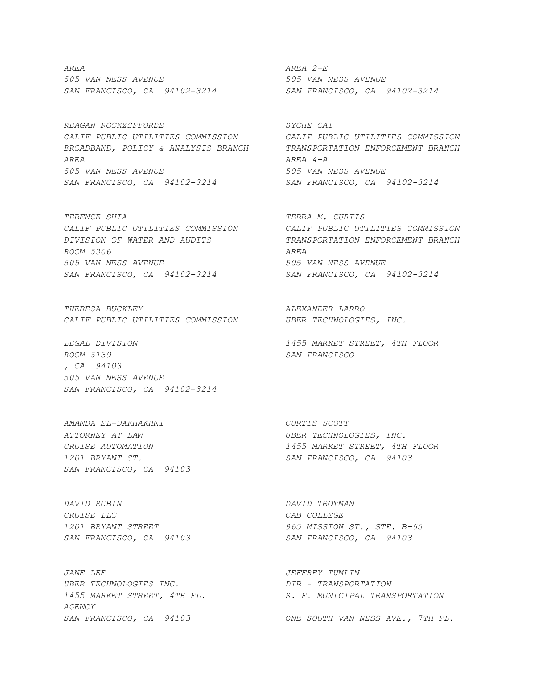*AREA AREA 2-E 505 VAN NESS AVENUE 505 VAN NESS AVENUE SAN FRANCISCO, CA 94102-3214 SAN FRANCISCO, CA 94102-3214* 

*REAGAN ROCKZSFFORDE SYCHE CAI CALIF PUBLIC UTILITIES COMMISSION CALIF PUBLIC UTILITIES COMMISSION BROADBAND, POLICY & ANALYSIS BRANCH TRANSPORTATION ENFORCEMENT BRANCH AREA AREA 4-A 505 VAN NESS AVENUE 505 VAN NESS AVENUE SAN FRANCISCO, CA 94102-3214 SAN FRANCISCO, CA 94102-3214* 

*TERENCE SHIA TERRA M. CURTIS CALIF PUBLIC UTILITIES COMMISSION CALIF PUBLIC UTILITIES COMMISSION DIVISION OF WATER AND AUDITS TRANSPORTATION ENFORCEMENT BRANCH ROOM 5306 AREA 505 VAN NESS AVENUE 505 VAN NESS AVENUE SAN FRANCISCO, CA 94102-3214 SAN FRANCISCO, CA 94102-3214* 

*THERESA BUCKLEY ALEXANDER LARRO CALIF PUBLIC UTILITIES COMMISSION UBER TECHNOLOGIES, INC.*

*ROOM 5139 SAN FRANCISCO , CA 94103 505 VAN NESS AVENUE SAN FRANCISCO, CA 94102-3214* 

*AMANDA EL-DAKHAKHNI CURTIS SCOTT ATTORNEY AT LAW UBER TECHNOLOGIES, INC. SAN FRANCISCO, CA 94103* 

*DAVID RUBIN DAVID TROTMAN CRUISE LLC CAB COLLEGE SAN FRANCISCO, CA 94103 SAN FRANCISCO, CA 94103* 

*JANE LEE*  $JEFFREY$  *TUMLIN UBER TECHNOLOGIES INC. DIR - TRANSPORTATION AGENCY SAN FRANCISCO, CA 94103 ONE SOUTH VAN NESS AVE., 7TH FL.* 

*LEGAL DIVISION 1455 MARKET STREET, 4TH FLOOR* 

*CRUISE AUTOMATION 1455 MARKET STREET, 4TH FLOOR 1201 BRYANT ST. SAN FRANCISCO, CA 94103* 

*1201 BRYANT STREET 965 MISSION ST., STE. B-65* 

*1455 MARKET STREET, 4TH FL. S. F. MUNICIPAL TRANSPORTATION*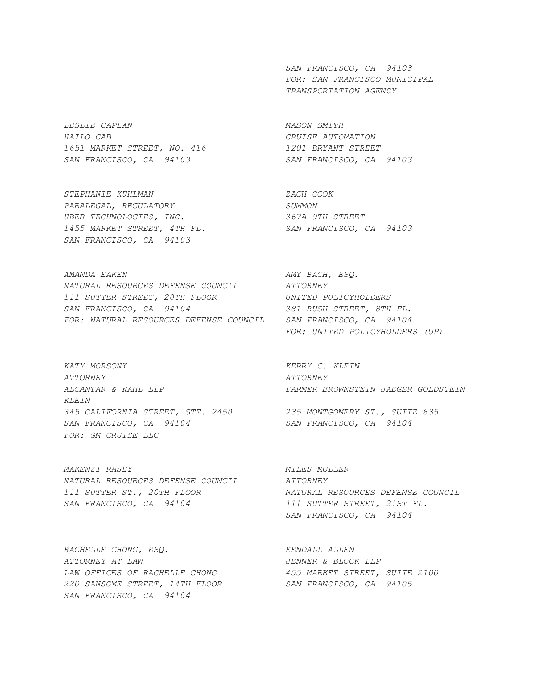*LESLIE CAPLAN MASON SMITH HAILO CAB CRUISE AUTOMATION 1651 MARKET STREET, NO. 416 1201 BRYANT STREET SAN FRANCISCO, CA 94103 SAN FRANCISCO, CA 94103* 

*STEPHANIE KUHLMAN ZACH COOK PARALEGAL, REGULATORY SUMMON*  UBER TECHNOLOGIES, INC. *1455 MARKET STREET, 4TH FL. SAN FRANCISCO, CA 94103 SAN FRANCISCO, CA 94103* 

AMANDA EAKEN **AMANDA ERESO.** *NATURAL RESOURCES DEFENSE COUNCIL ATTORNEY 111 SUTTER STREET, 20TH FLOOR UNITED POLICYHOLDERS SAN FRANCISCO, CA 94104 381 BUSH STREET, 8TH FL. FOR: NATURAL RESOURCES DEFENSE COUNCIL SAN FRANCISCO, CA 94104* 

*KATY MORSONY KERRY C. KLEIN ATTORNEY ATTORNEY KLEIN 345 CALIFORNIA STREET, STE. 2450 235 MONTGOMERY ST., SUITE 835 SAN FRANCISCO, CA 94104 SAN FRANCISCO, CA 94104 FOR: GM CRUISE LLC* 

*MAKENZI RASEY MILES MULLER NATURAL RESOURCES DEFENSE COUNCIL ATTORNEY SAN FRANCISCO, CA 94104 111 SUTTER STREET, 21ST FL.* 

RACHELLE CHONG, ESQ. KENDALL ALLEN *ATTORNEY AT LAW JENNER & BLOCK LLP LAW OFFICES OF RACHELLE CHONG 455 MARKET STREET, SUITE 2100 220 SANSOME STREET, 14TH FLOOR SAN FRANCISCO, CA 94105 SAN FRANCISCO, CA 94104* 

 *SAN FRANCISCO, CA 94103 FOR: SAN FRANCISCO MUNICIPAL TRANSPORTATION AGENCY* 

 *FOR: UNITED POLICYHOLDERS (UP)* 

*ALCANTAR & KAHL LLP FARMER BROWNSTEIN JAEGER GOLDSTEIN* 

*111 SUTTER ST., 20TH FLOOR NATURAL RESOURCES DEFENSE COUNCIL SAN FRANCISCO, CA 94104*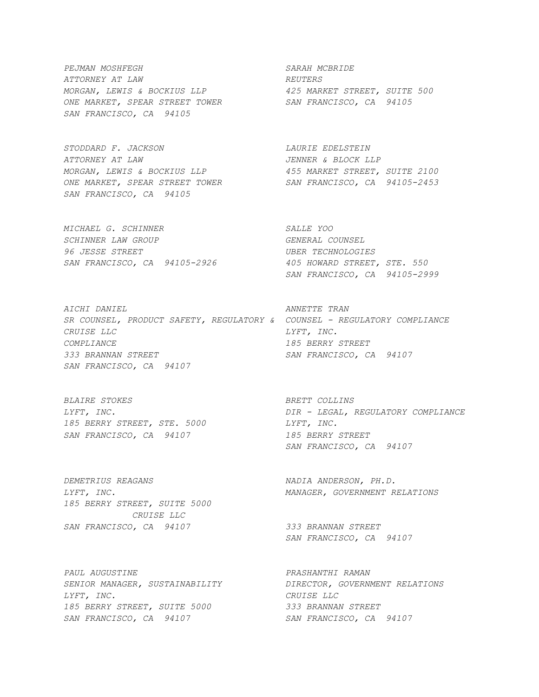*PEJMAN MOSHFEGH SARAH MCBRIDE ATTORNEY AT LAW REUTERS MORGAN, LEWIS & BOCKIUS LLP 425 MARKET STREET, SUITE 500 ONE MARKET, SPEAR STREET TOWER SAN FRANCISCO, CA 94105 SAN FRANCISCO, CA 94105* 

*STODDARD F. JACKSON LAURIE EDELSTEIN ATTORNEY AT LAW*<br> *MORGAN, LEWIS & BOCKIUS LLP*<br> *ASS MARKET STREET OWER ASS MARKET STREET,*<br> *ONE MARKET, SPEAR STREET TOWER SAN FRANCISCO, CA MORGAN, LEWIS & BOCKIUS LLP 455 MARKET STREET, SUITE 2100 ONE MARKET, SPEAR STREET TOWER SAN FRANCISCO, CA 94105-2453 SAN FRANCISCO, CA 94105* 

*MICHAEL G. SCHINNER SALLE YOO SCHINNER LAW GROUP GENERAL COUNSEL 96 JESSE STREET UBER TECHNOLOGIES SAN FRANCISCO, CA 94105-2926 405 HOWARD STREET, STE. 550* 

*AICHI DANIEL ANNETTE TRAN SR COUNSEL, PRODUCT SAFETY, REGULATORY & COUNSEL - REGULATORY COMPLIANCE CRUISE LLC LYFT, INC. COMPLIANCE 185 BERRY STREET 333 BRANNAN STREET SAN FRANCISCO, CA 94107 SAN FRANCISCO, CA 94107* 

*BLAIRE STOKES BRETT COLLINS 185 BERRY STREET, STE. 5000 LYFT, INC. SAN FRANCISCO, CA 94107 185 BERRY STREET* 

*DEMETRIUS REAGANS NADIA ANDERSON, PH.D. 185 BERRY STREET, SUITE 5000 CRUISE LLC SAN FRANCISCO, CA 94107 333 BRANNAN STREET* 

*PAUL AUGUSTINE PRASHANTHI RAMAN SENIOR MANAGER, SUSTAINABILITY DIRECTOR, GOVERNMENT RELATIONS LYFT, INC. CRUISE LLC 185 BERRY STREET, SUITE 5000 333 BRANNAN STREET SAN FRANCISCO, CA 94107 SAN FRANCISCO, CA 94107* 

 *SAN FRANCISCO, CA 94105-2999* 

*LYFT, INC. DIR - LEGAL, REGULATORY COMPLIANCE SAN FRANCISCO, CA 94107* 

*LYFT, INC. MANAGER, GOVERNMENT RELATIONS* 

 *SAN FRANCISCO, CA 94107*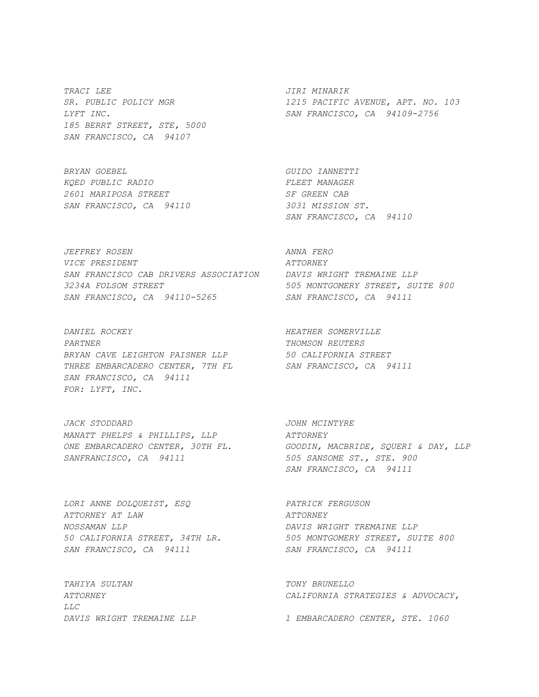*TRACI LEE JIRI MINARIK 185 BERRT STREET, STE, 5000 SAN FRANCISCO, CA 94107* 

*BRYAN GOEBEL GUIDO IANNETTI KQED PUBLIC RADIO FLEET MANAGER 2601 MARIPOSA STREET SF GREEN CAB SAN FRANCISCO, CA 94110 3031 MISSION ST.* 

*JEFFREY ROSEN ANNA FERO VICE PRESIDENT ATTORNEY SAN FRANCISCO CAB DRIVERS ASSOCIATION DAVIS WRIGHT TREMAINE LLP 3234A FOLSOM STREET 505 MONTGOMERY STREET, SUITE 800 SAN FRANCISCO, CA 94110-5265 SAN FRANCISCO, CA 94111* 

*DANIEL ROCKEY HEATHER SOMERVILLE PARTNER THOMSON REUTERS BRYAN CAVE LEIGHTON PAISNER LLP 50 CALIFORNIA STREET THREE EMBARCADERO CENTER, 7TH FL SAN FRANCISCO, CA 94111 SAN FRANCISCO, CA 94111 FOR: LYFT, INC.* 

*JACK STODDARD JOHN MCINTYRE MANATT PHELPS & PHILLIPS, LLP ATTORNEY SANFRANCISCO, CA 94111 505 SANSOME ST., STE. 900* 

*LORI ANNE DOLQUEIST, ESQ PATRICK FERGUSON ATTORNEY AT LAW ATTORNEY NOSSAMAN LLP DAVIS WRIGHT TREMAINE LLP*  SAN FRANCISCO, CA 94111 SAN FRANCISCO, CA 94111

*TAHIYA SULTAN TONY BRUNELLO LLC DAVIS WRIGHT TREMAINE LLP 1 EMBARCADERO CENTER, STE. 1060* 

*SR. PUBLIC POLICY MGR 1215 PACIFIC AVENUE, APT. NO. 103 LYFT INC. SAN FRANCISCO, CA 94109-2756* 

 *SAN FRANCISCO, CA 94110* 

*ONE EMBARCADERO CENTER, 30TH FL. GOODIN, MACBRIDE, SQUERI & DAY, LLP SAN FRANCISCO, CA 94111* 

*50 CALIFORNIA STREET, 34TH LR. 505 MONTGOMERY STREET, SUITE 800* 

*ATTORNEY CALIFORNIA STRATEGIES & ADVOCACY,*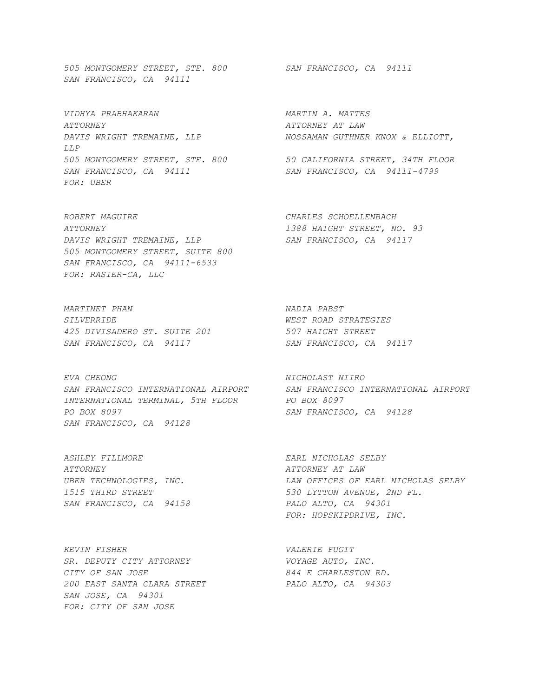*505 MONTGOMERY STREET, STE. 800 SAN FRANCISCO, CA 94111 SAN FRANCISCO, CA 94111* 

*VIDHYA PRABHAKARAN MARTIN A. MATTES ATTORNEY ATTORNEY AT LAW DAVIS WRIGHT TREMAINE, LLP NOSSAMAN GUTHNER KNOX & ELLIOTT, LLP 505 MONTGOMERY STREET, STE. 800 50 CALIFORNIA STREET, 34TH FLOOR SAN FRANCISCO, CA 94111 SAN FRANCISCO, CA 94111-4799 FOR: UBER* 

*ROBERT MAGUIRE CHARLES SCHOELLENBACH ATTORNEY 1388 HAIGHT STREET, NO. 93*  DAVIS WRIGHT TREMAINE, LLP SAN FRANCISCO, CA 94117 *505 MONTGOMERY STREET, SUITE 800 SAN FRANCISCO, CA 94111-6533 FOR: RASIER-CA, LLC* 

*MARTINET PHAN NADIA PABST SILVERRIDE WEST ROAD STRATEGIES 425 DIVISADERO ST. SUITE 201* 507 HAIGHT STREET<br>
SAN FRANCISCO, CA 94117 5AN FRANCISCO, CA 94117 SAN FRANCISCO, CA 94117

*EVA CHEONG NICHOLAST NIIRO SAN FRANCISCO INTERNATIONAL AIRPORT SAN FRANCISCO INTERNATIONAL AIRPORT INTERNATIONAL TERMINAL, 5TH FLOOR PO BOX 8097 PO BOX 8097 SAN FRANCISCO, CA 94128 SAN FRANCISCO, CA 94128* 

*ASHLEY FILLMORE EARL NICHOLAS SELBY ATTORNEY ATTORNEY AT LAW SAN FRANCISCO, CA 94158 PALO ALTO, CA 94301* 

*KEVIN FISHER VALERIE FUGIT*  SR. DEPUTY CITY ATTORNEY **VOYAGE AUTO, INC.** *CITY OF SAN JOSE 844 E CHARLESTON RD. 200 EAST SANTA CLARA STREET PALO ALTO, CA 94303 SAN JOSE, CA 94301 FOR: CITY OF SAN JOSE* 

*UBER TECHNOLOGIES, INC. LAW OFFICES OF EARL NICHOLAS SELBY 1515 THIRD STREET 530 LYTTON AVENUE, 2ND FL. FOR: HOPSKIPDRIVE, INC.*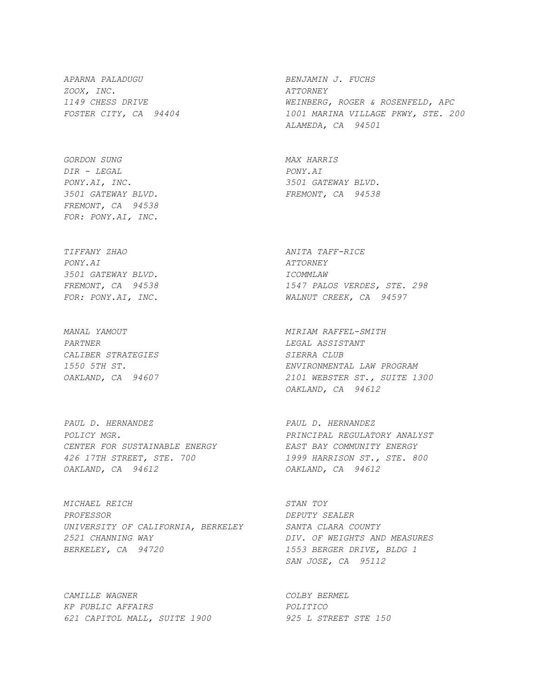*APARNA PALADUGU BENJAMIN J. FUCHS ZOOX, INC. ATTORNEY* 

*GORDON SUNG MAX HARRIS DIR - LEGAL PONY.AI PONY.AI, INC. 3501 GATEWAY BLVD. 3501 GATEWAY BLVD. FREMONT, CA 94538 FREMONT, CA 94538 FOR: PONY.AI, INC.* 

*TIFFANY ZHAO ANITA TAFF-RICE PONY.AI ATTORNEY 3501 GATEWAY BLVD. ICOMMLAW* 

*PARTNER LEGAL ASSISTANT CALIBER STRATEGIES SIERRA CLUB* 

*PAUL D. HERNANDEZ PAUL D. HERNANDEZ POLICY MGR. PRINCIPAL REGULATORY ANALYST CENTER FOR SUSTAINABLE ENERGY EAST BAY COMMUNITY ENERGY 426 17TH STREET, STE. 700 1999 HARRISON ST., STE. 800 OAKLAND, CA 94612 OAKLAND, CA 94612* 

*MICHAEL REICH STAN TOY PROFESSOR DEPUTY SEALER UNIVERSITY OF CALIFORNIA, BERKELEY SANTA CLARA COUNTY 2521 CHANNING WAY DIV. OF WEIGHTS AND MEASURES BERKELEY, CA 94720 1553 BERGER DRIVE, BLDG 1* 

*CAMILLE WAGNER COLBY BERMEL KP PUBLIC AFFAIRS POLITICO 621 CAPITOL MALL, SUITE 1900 925 L STREET STE 150* 

*1149 CHESS DRIVE WEINBERG, ROGER & ROSENFELD, APC FOSTER CITY, CA 94404 1001 MARINA VILLAGE PKWY, STE. 200 ALAMEDA, CA 94501* 

*FREMONT, CA 94538 1547 PALOS VERDES, STE. 298 FOR: PONY.AI, INC. WALNUT CREEK, CA 94597* 

*MANAL YAMOUT MIRIAM RAFFEL-SMITH 1550 5TH ST. ENVIRONMENTAL LAW PROGRAM OAKLAND, CA 94607 2101 WEBSTER ST., SUITE 1300 OAKLAND, CA 94612* 

 *SAN JOSE, CA 95112*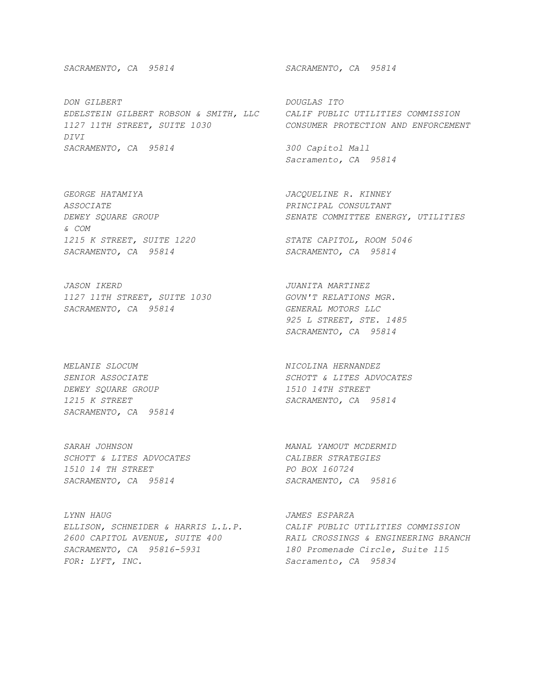*DON GILBERT DOUGLAS ITO EDELSTEIN GILBERT ROBSON & SMITH, LLC CALIF PUBLIC UTILITIES COMMISSION 1127 11TH STREET, SUITE 1030 CONSUMER PROTECTION AND ENFORCEMENT DIVI SACRAMENTO, CA 95814 300 Capitol Mall* 

*GEORGE HATAMIYA JACQUELINE R. KINNEY ASSOCIATE PRINCIPAL CONSULTANT & COM 1215 K STREET, SUITE 1220 STATE CAPITOL, ROOM 5046* 

*JASON IKERD JUANITA MARTINEZ 1127 11TH STREET, SUITE 1030 GOVN'T RELATIONS MGR. SACRAMENTO, CA 95814 GENERAL MOTORS LLC* 

*MELANIE SLOCUM NICOLINA HERNANDEZ DEWEY SQUARE GROUP 1510 14TH STREET 1215 K STREET SACRAMENTO, CA 95814 SACRAMENTO, CA 95814* 

*SARAH JOHNSON MANAL YAMOUT MCDERMID SCHOTT & LITES ADVOCATES CALIBER STRATEGIES 1510 14 TH STREET PO BOX 160724 SACRAMENTO, CA 95814 SACRAMENTO, CA 95816* 

*LYNN HAUG JAMES ESPARZA ELLISON, SCHNEIDER & HARRIS L.L.P. CALIF PUBLIC UTILITIES COMMISSION SACRAMENTO, CA 95816-5931 180 Promenade Circle, Suite 115 FOR: LYFT, INC. Sacramento, CA 95834* 

*SACRAMENTO, CA 95814 SACRAMENTO, CA 95814* 

 *Sacramento, CA 95814* 

*DEWEY SQUARE GROUP SENATE COMMITTEE ENERGY, UTILITIES* 

*SACRAMENTO, CA 95814 SACRAMENTO, CA 95814* 

 *925 L STREET, STE. 1485 SACRAMENTO, CA 95814* 

**SENIOR ASSOCIATE** SCHOTT & LITES ADVOCATES

*2600 CAPITOL AVENUE, SUITE 400 RAIL CROSSINGS & ENGINEERING BRANCH*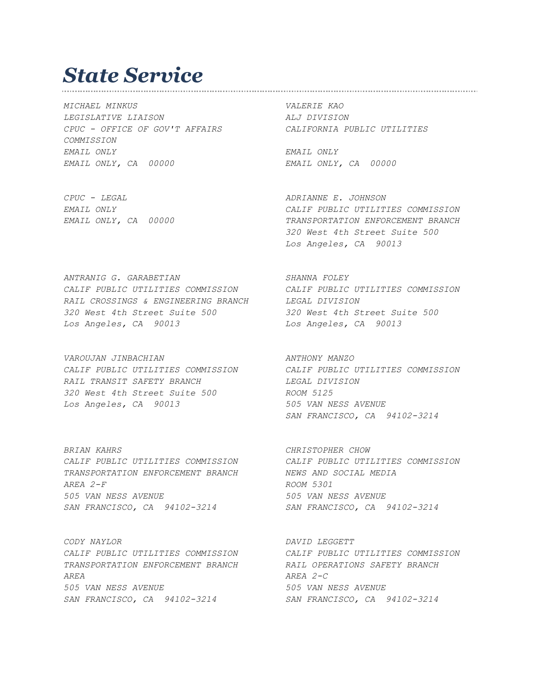#### *State Service*

*MICHAEL MINKUS VALERIE KAO LEGISLATIVE LIAISON ALJ DIVISION CPUC - OFFICE OF GOV'T AFFAIRS CALIFORNIA PUBLIC UTILITIES COMMISSION EMAIL ONLY EMAIL ONLY EMAIL ONLY, CA 00000 EMAIL ONLY, CA 00000* 

*CPUC - LEGAL ADRIANNE E. JOHNSON EMAIL ONLY CALIF PUBLIC UTILITIES COMMISSION EMAIL ONLY, CA 00000 TRANSPORTATION ENFORCEMENT BRANCH 320 West 4th Street Suite 500 Los Angeles, CA 90013* 

*ANTRANIG G. GARABETIAN SHANNA FOLEY CALIF PUBLIC UTILITIES COMMISSION CALIF PUBLIC UTILITIES COMMISSION RAIL CROSSINGS & ENGINEERING BRANCH LEGAL DIVISION 320 West 4th Street Suite 500 320 West 4th Street Suite 500 Los Angeles, CA 90013 Los Angeles, CA 90013* 

VAROUJAN JINBACHIAN **ANTHONY MANZO** *CALIF PUBLIC UTILITIES COMMISSION CALIF PUBLIC UTILITIES COMMISSION RAIL TRANSIT SAFETY BRANCH LEGAL DIVISION 320 West 4th Street Suite 500 ROOM 5125 Los Angeles, CA 90013 505 VAN NESS AVENUE* 

*BRIAN KAHRS CHRISTOPHER CHOW CALIF PUBLIC UTILITIES COMMISSION CALIF PUBLIC UTILITIES COMMISSION TRANSPORTATION ENFORCEMENT BRANCH NEWS AND SOCIAL MEDIA AREA 2-F ROOM 5301 505 VAN NESS AVENUE 505 VAN NESS AVENUE SAN FRANCISCO, CA 94102-3214 SAN FRANCISCO, CA 94102-3214* 

*CODY NAYLOR DAVID LEGGETT TRANSPORTATION ENFORCEMENT BRANCH RAIL OPERATIONS SAFETY BRANCH AREA AREA 2-C 505 VAN NESS AVENUE 505 VAN NESS AVENUE SAN FRANCISCO, CA 94102-3214 SAN FRANCISCO, CA 94102-3214* 

 *SAN FRANCISCO, CA 94102-3214* 

*CALIF PUBLIC UTILITIES COMMISSION CALIF PUBLIC UTILITIES COMMISSION*